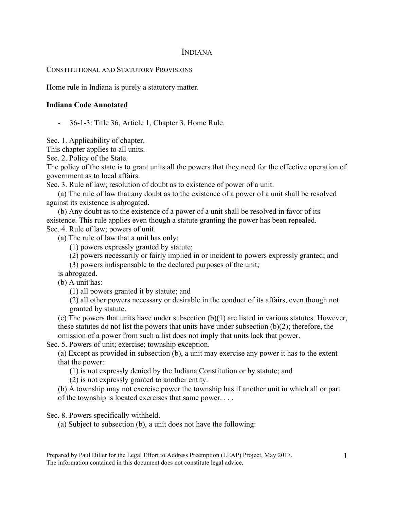## INDIANA

## CONSTITUTIONAL AND STATUTORY PROVISIONS

Home rule in Indiana is purely a statutory matter.

## **Indiana Code Annotated**

- 36-1-3: Title 36, Article 1, Chapter 3. Home Rule.

Sec. 1. Applicability of chapter.

This chapter applies to all units.

Sec. 2. Policy of the State.

The policy of the state is to grant units all the powers that they need for the effective operation of government as to local affairs.

Sec. 3. Rule of law; resolution of doubt as to existence of power of a unit.

(a) The rule of law that any doubt as to the existence of a power of a unit shall be resolved against its existence is abrogated.

(b) Any doubt as to the existence of a power of a unit shall be resolved in favor of its existence. This rule applies even though a statute granting the power has been repealed. Sec. 4. Rule of law; powers of unit.

(a) The rule of law that a unit has only:

(1) powers expressly granted by statute;

(2) powers necessarily or fairly implied in or incident to powers expressly granted; and

(3) powers indispensable to the declared purposes of the unit;

is abrogated.

(b) A unit has:

(1) all powers granted it by statute; and

(2) all other powers necessary or desirable in the conduct of its affairs, even though not granted by statute.

(c) The powers that units have under subsection  $(b)(1)$  are listed in various statutes. However, these statutes do not list the powers that units have under subsection (b)(2); therefore, the omission of a power from such a list does not imply that units lack that power.

Sec. 5. Powers of unit; exercise; township exception.

(a) Except as provided in subsection (b), a unit may exercise any power it has to the extent that the power:

(1) is not expressly denied by the Indiana Constitution or by statute; and

(2) is not expressly granted to another entity.

(b) A township may not exercise power the township has if another unit in which all or part of the township is located exercises that same power. . . .

Sec. 8. Powers specifically withheld.

(a) Subject to subsection (b), a unit does not have the following: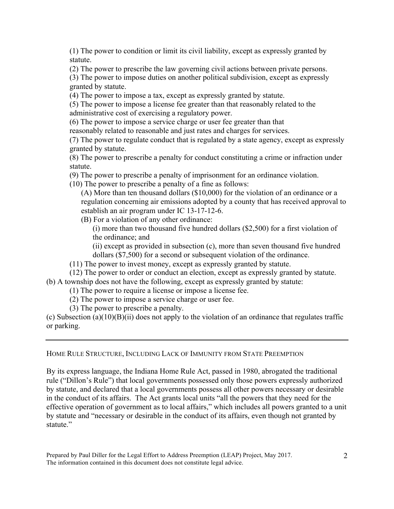(1) The power to condition or limit its civil liability, except as expressly granted by statute.

(2) The power to prescribe the law governing civil actions between private persons.

(3) The power to impose duties on another political subdivision, except as expressly granted by statute.

(4) The power to impose a tax, except as expressly granted by statute.

(5) The power to impose a license fee greater than that reasonably related to the administrative cost of exercising a regulatory power.

(6) The power to impose a service charge or user fee greater than that

reasonably related to reasonable and just rates and charges for services.

(7) The power to regulate conduct that is regulated by a state agency, except as expressly granted by statute.

(8) The power to prescribe a penalty for conduct constituting a crime or infraction under statute.

(9) The power to prescribe a penalty of imprisonment for an ordinance violation.

(10) The power to prescribe a penalty of a fine as follows:

(A) More than ten thousand dollars (\$10,000) for the violation of an ordinance or a regulation concerning air emissions adopted by a county that has received approval to establish an air program under IC 13-17-12-6.

(B) For a violation of any other ordinance:

(i) more than two thousand five hundred dollars (\$2,500) for a first violation of the ordinance; and

(ii) except as provided in subsection (c), more than seven thousand five hundred dollars (\$7,500) for a second or subsequent violation of the ordinance.

(11) The power to invest money, except as expressly granted by statute.

(12) The power to order or conduct an election, except as expressly granted by statute. (b) A township does not have the following, except as expressly granted by statute:

(1) The power to require a license or impose a license fee.

(2) The power to impose a service charge or user fee.

(3) The power to prescribe a penalty.

(c) Subsection (a)(10)(B)(ii) does not apply to the violation of an ordinance that regulates traffic or parking.

HOME RULE STRUCTURE, INCLUDING LACK OF IMMUNITY FROM STATE PREEMPTION

By its express language, the Indiana Home Rule Act, passed in 1980, abrogated the traditional rule ("Dillon's Rule") that local governments possessed only those powers expressly authorized by statute, and declared that a local governments possess all other powers necessary or desirable in the conduct of its affairs. The Act grants local units "all the powers that they need for the effective operation of government as to local affairs," which includes all powers granted to a unit by statute and "necessary or desirable in the conduct of its affairs, even though not granted by statute."

Prepared by Paul Diller for the Legal Effort to Address Preemption (LEAP) Project, May 2017. The information contained in this document does not constitute legal advice.